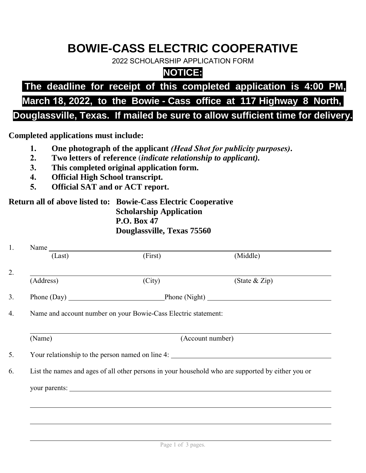# **BOWIE-CASS ELECTRIC COOPERATIVE**

2022 SCHOLARSHIP APPLICATION FORM

### **NOTICE:**

## **The deadline for receipt of this completed application is 4:00 PM,**

## **March 18, 2022, to the Bowie - Cass office at 117 Highway 8 North,**

#### **Douglassville, Texas. If mailed be sure to allow sufficient time for delivery.**

**Completed applications must include:**

- **1. One photograph of the applicant** *(Head Shot for publicity purposes)***.**
- **2. Two letters of reference** (*indicate relationship to applicant).*
- **3. This completed original application form.**
- **4. Official High School transcript.**
- **5. Official SAT and or ACT report.**

#### **Return all of above listed to: Bowie-Cass Electric Cooperative Scholarship Application P.O. Box 47 Douglassville, Texas 75560**

| (First)<br>(Last)<br>(Address)<br>(City)<br>Phone (Day) Phone (Night)<br>Name and account number on your Bowie-Cass Electric statement:<br>(Name)<br>(Account number)<br>Your relationship to the person named on line 4:<br>List the names and ages of all other persons in your household who are supported by either you or | (Middle)<br>(State $&$ Zip) |
|--------------------------------------------------------------------------------------------------------------------------------------------------------------------------------------------------------------------------------------------------------------------------------------------------------------------------------|-----------------------------|
|                                                                                                                                                                                                                                                                                                                                |                             |
|                                                                                                                                                                                                                                                                                                                                |                             |
|                                                                                                                                                                                                                                                                                                                                |                             |
|                                                                                                                                                                                                                                                                                                                                |                             |
|                                                                                                                                                                                                                                                                                                                                |                             |
|                                                                                                                                                                                                                                                                                                                                |                             |
|                                                                                                                                                                                                                                                                                                                                |                             |
|                                                                                                                                                                                                                                                                                                                                |                             |
|                                                                                                                                                                                                                                                                                                                                |                             |
|                                                                                                                                                                                                                                                                                                                                |                             |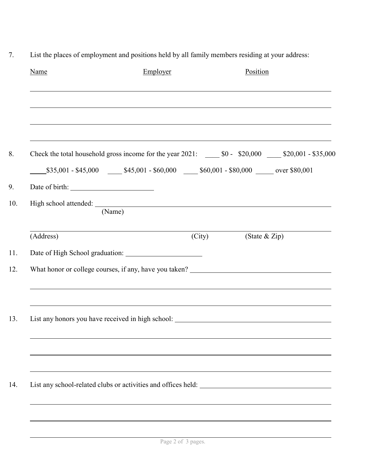| Name      | Employer                                                                                                               |        | Position      |  |
|-----------|------------------------------------------------------------------------------------------------------------------------|--------|---------------|--|
|           |                                                                                                                        |        |               |  |
|           |                                                                                                                        |        |               |  |
|           | Check the total household gross income for the year $2021$ : $\_\_\_\_$ \$0 - \$20,000 $\_\_\_\_\$ \$20,001 - \$35,000 |        |               |  |
|           | $$35,001 - $45,000$ $$45,001 - $60,000$ $$60,000$ $$80,001 - $80,000$ over \$80,001                                    |        |               |  |
|           |                                                                                                                        |        |               |  |
|           | (Name)                                                                                                                 |        |               |  |
| (Address) |                                                                                                                        | (City) | (State & Zip) |  |
|           |                                                                                                                        |        |               |  |
|           |                                                                                                                        |        |               |  |
|           |                                                                                                                        |        |               |  |
|           |                                                                                                                        |        |               |  |
|           |                                                                                                                        |        |               |  |
|           |                                                                                                                        |        |               |  |
|           |                                                                                                                        |        |               |  |
|           |                                                                                                                        |        |               |  |
|           |                                                                                                                        |        |               |  |

7. List the places of employment and positions held by all family members residing at your address: